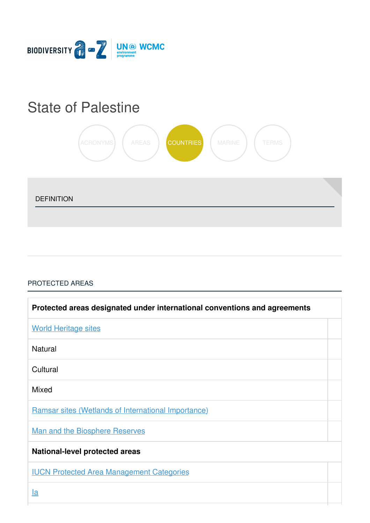

# State of [Palestine](https://biodiversitya-z.org/content/state-of-palestine)



DEFINITION

## [PROTECTED](javascript:void(0)) AREAS

| Protected areas designated under international conventions and agreements |  |
|---------------------------------------------------------------------------|--|
| <b>World Heritage sites</b>                                               |  |
| <b>Natural</b>                                                            |  |
| Cultural                                                                  |  |
| <b>Mixed</b>                                                              |  |
| <b>Ramsar sites (Wetlands of International Importance)</b>                |  |
| <b>Man and the Biosphere Reserves</b>                                     |  |
| <b>National-level protected areas</b>                                     |  |
| <b>IUCN Protected Area Management Categories</b>                          |  |
| <u>la</u>                                                                 |  |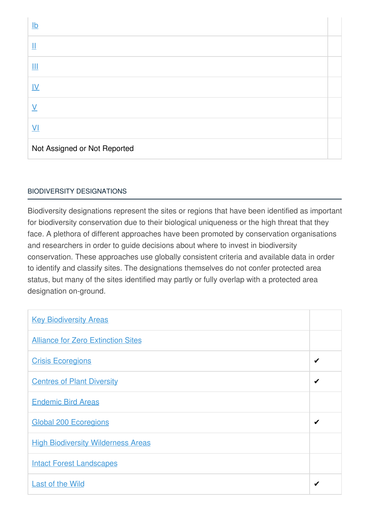| $lb$                         |  |
|------------------------------|--|
| $\mathop{\rm II}\nolimits$   |  |
| Ш                            |  |
| $\underline{\mathsf{IV}}$    |  |
| $\vee$                       |  |
| $\underline{V}$              |  |
| Not Assigned or Not Reported |  |

## BIODIVERSITY [DESIGNATIONS](javascript:void(0))

Biodiversity designations represent the sites or regions that have been identified as important for biodiversity conservation due to their biological uniqueness or the high threat that they face. A plethora of different approaches have been promoted by conservation organisations and researchers in order to guide decisions about where to invest in biodiversity conservation. These approaches use globally consistent criteria and available data in order to identify and classify sites. The designations themselves do not confer protected area status, but many of the sites identified may partly or fully overlap with a protected area designation on-ground.

| <b>Key Biodiversity Areas</b>             |   |
|-------------------------------------------|---|
| <b>Alliance for Zero Extinction Sites</b> |   |
| <b>Crisis Ecoregions</b>                  | ✔ |
| <b>Centres of Plant Diversity</b>         |   |
| <b>Endemic Bird Areas</b>                 |   |
| <b>Global 200 Ecoregions</b>              | ✔ |
| <b>High Biodiversity Wilderness Areas</b> |   |
| <b>Intact Forest Landscapes</b>           |   |
| <b>Last of the Wild</b>                   | ✔ |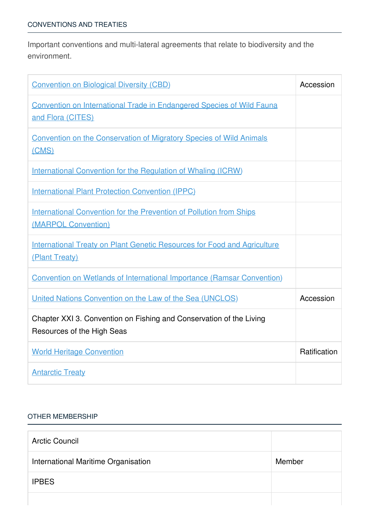Important conventions and multi-lateral agreements that relate to biodiversity and the environment.

| <b>Convention on Biological Diversity (CBD)</b>                                                   | Accession    |
|---------------------------------------------------------------------------------------------------|--------------|
| <b>Convention on International Trade in Endangered Species of Wild Fauna</b><br>and Flora (CITES) |              |
| <b>Convention on the Conservation of Migratory Species of Wild Animals</b><br>(CMS)               |              |
| <b>International Convention for the Regulation of Whaling (ICRW)</b>                              |              |
| <b>International Plant Protection Convention (IPPC)</b>                                           |              |
| <b>International Convention for the Prevention of Pollution from Ships</b><br>(MARPOL Convention) |              |
| <b>International Treaty on Plant Genetic Resources for Food and Agriculture</b><br>(Plant Treaty) |              |
| <b>Convention on Wetlands of International Importance (Ramsar Convention)</b>                     |              |
| United Nations Convention on the Law of the Sea (UNCLOS)                                          | Accession    |
| Chapter XXI 3. Convention on Fishing and Conservation of the Living<br>Resources of the High Seas |              |
| <b>World Heritage Convention</b>                                                                  | Ratification |
| <b>Antarctic Treaty</b>                                                                           |              |

### OTHER [MEMBERSHIP](javascript:void(0))

| <b>Arctic Council</b>               |        |
|-------------------------------------|--------|
| International Maritime Organisation | Member |
| <b>IPBES</b>                        |        |
|                                     |        |